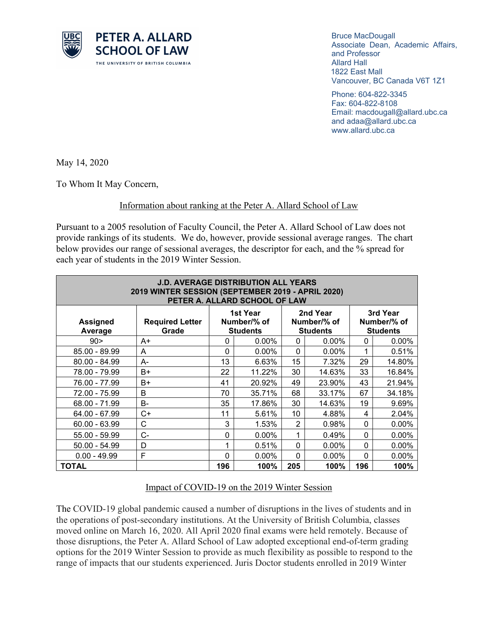

Bruce MacDougall Associate Dean, Academic Affairs, and Professor Allard Hall 1822 East Mall Vancouver, BC Canada V6T 1Z1

Phone: 604-822-3345 Fax: 604-822-8108 Email: macdougall@allard.ubc.ca and adaa@allard.ubc.ca www.allard.ubc.ca

May 14, 2020

To Whom It May Concern,

## Information about ranking at the Peter A. Allard School of Law

Pursuant to a 2005 resolution of Faculty Council, the Peter A. Allard School of Law does not provide rankings of its students. We do, however, provide sessional average ranges. The chart below provides our range of sessional averages, the descriptor for each, and the % spread for each year of students in the 2019 Winter Session.

| <b>J.D. AVERAGE DISTRIBUTION ALL YEARS</b><br>2019 WINTER SESSION (SEPTEMBER 2019 - APRIL 2020)<br>PETER A. ALLARD SCHOOL OF LAW |                                 |                                            |          |                                            |          |                                            |          |
|----------------------------------------------------------------------------------------------------------------------------------|---------------------------------|--------------------------------------------|----------|--------------------------------------------|----------|--------------------------------------------|----------|
| <b>Assigned</b><br>Average                                                                                                       | <b>Required Letter</b><br>Grade | 1st Year<br>Number/% of<br><b>Students</b> |          | 2nd Year<br>Number/% of<br><b>Students</b> |          | 3rd Year<br>Number/% of<br><b>Students</b> |          |
| 90 >                                                                                                                             | A+                              | 0                                          | $0.00\%$ | 0                                          | $0.00\%$ | 0                                          | $0.00\%$ |
| 85.00 - 89.99                                                                                                                    | A                               | $\Omega$                                   | $0.00\%$ | $\Omega$                                   | 0.00%    | 1                                          | 0.51%    |
| 80.00 - 84.99                                                                                                                    | A-                              | 13                                         | 6.63%    | 15                                         | 7.32%    | 29                                         | 14.80%   |
| 78.00 - 79.99                                                                                                                    | B+                              | 22                                         | 11.22%   | 30                                         | 14.63%   | 33                                         | 16.84%   |
| 76.00 - 77.99                                                                                                                    | B+                              | 41                                         | 20.92%   | 49                                         | 23.90%   | 43                                         | 21.94%   |
| 72.00 - 75.99                                                                                                                    | B                               | 70                                         | 35.71%   | 68                                         | 33.17%   | 67                                         | 34.18%   |
| 68.00 - 71.99                                                                                                                    | $B -$                           | 35                                         | 17.86%   | 30                                         | 14.63%   | 19                                         | 9.69%    |
| 64.00 - 67.99                                                                                                                    | $C+$                            | 11                                         | 5.61%    | 10                                         | 4.88%    | 4                                          | 2.04%    |
| $60.00 - 63.99$                                                                                                                  | C                               | 3                                          | 1.53%    | $\overline{2}$                             | 0.98%    | 0                                          | $0.00\%$ |
| 55.00 - 59.99                                                                                                                    | $C -$                           | 0                                          | $0.00\%$ | 1                                          | 0.49%    | 0                                          | 0.00%    |
| $50.00 - 54.99$                                                                                                                  | D                               | 1                                          | 0.51%    | $\mathbf{0}$                               | $0.00\%$ | 0                                          | $0.00\%$ |
| $0.00 - 49.99$                                                                                                                   | F                               | $\Omega$                                   | $0.00\%$ | $\mathbf{0}$                               | $0.00\%$ | 0                                          | $0.00\%$ |
| <b>TOTAL</b>                                                                                                                     |                                 | 196                                        | 100%     | 205                                        | 100%     | 196                                        | 100%     |

## Impact of COVID-19 on the 2019 Winter Session

The COVID-19 global pandemic caused a number of disruptions in the lives of students and in the operations of post-secondary institutions. At the University of British Columbia, classes moved online on March 16, 2020. All April 2020 final exams were held remotely. Because of those disruptions, the Peter A. Allard School of Law adopted exceptional end-of-term grading options for the 2019 Winter Session to provide as much flexibility as possible to respond to the range of impacts that our students experienced. Juris Doctor students enrolled in 2019 Winter